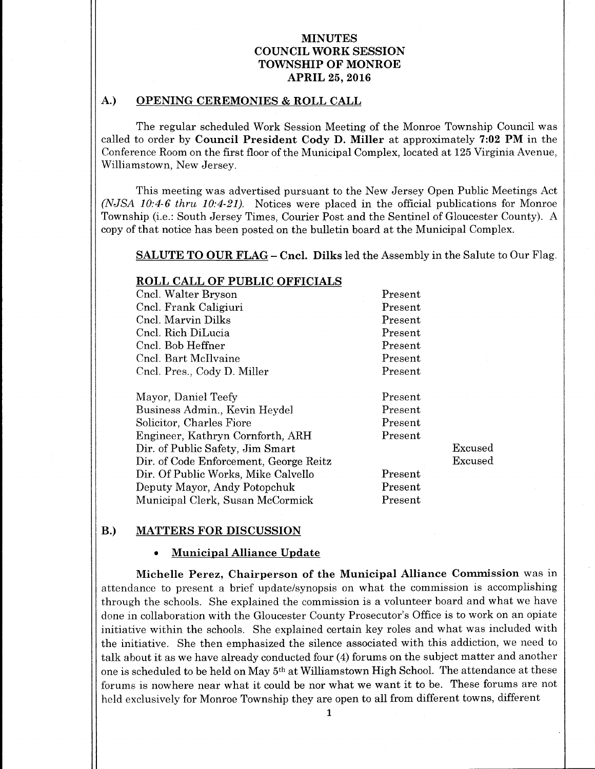## A.) OPENING CEREMONIES & ROLL CALL

The regular scheduled Work Session Meeting of the Monroe Township Council was called to order by Council President Cody D. Miller at approximately  $7:02$  PM in the Conference Room on the first floor of the Municipal Complex, located at 125 Virginia Avenue, Williamstown, New Jersey.

This meeting was advertised pursuant to the New Jersey Open Public Meetings Act (NJSA 10:4-6 thru 10:4-21). Notices were placed in the official publications for Monroe Township (i.e.: South Jersey Times, Courier Post and the Sentinel of Gloucester County). A copy of that notice has been posted on the bulletin board at the Municipal Complex.

SALUTE TO OUR FLAG – Cncl. Dilks led the Assembly in the Salute to Our Flag.

## ROLL CALL OF PUBLIC OFFICIALS

| Cncl. Walter Bryson         | Present |
|-----------------------------|---------|
| Cncl. Frank Caligiuri       | Present |
| Cncl. Marvin Dilks          | Present |
| Cncl. Rich DiLucia          | Present |
| Cncl. Bob Heffner           | Present |
| Cncl. Bart McIlvaine        | Present |
| Cncl. Pres., Cody D. Miller | Present |
|                             |         |

| Mayor, Daniel Teefy                    | Present |         |
|----------------------------------------|---------|---------|
| Business Admin., Kevin Heydel          | Present |         |
| Solicitor, Charles Fiore               | Present |         |
| Engineer, Kathryn Cornforth, ARH       | Present |         |
| Dir. of Public Safety, Jim Smart       |         | Excused |
| Dir. of Code Enforcement, George Reitz |         | Excused |
| Dir. Of Public Works, Mike Calvello    | Present |         |
| Deputy Mayor, Andy Potopchuk           | Present |         |
| Municipal Clerk, Susan McCormick       | Present |         |

## B.) MATTERS FOR DISCUSSION

#### Municipal Alliance Update

Michelle Perez, Chairperson of the Municipal Alliance Commission was in attendance to present a brief update/synopsis on what the commission is accomplishing through the schools. She explained the commission is a volunteer board and what we have done in collaboration with the Gloucester County Prosecutor's Office is to work on an opiate initiative within the schools. She explained certain key roles and what was included with the initiative. She then emphasized the silence associated with this addiction, we need to talk about it as we have already conducted four (4) forums on the subject matter and another one is scheduled to be held on May 5th at Williamstown High School. The attendance at these forums is nowhere near what it could be nor what we want it to be. These forums are not held exclusively for Monroe Township they are open to all from different towns, different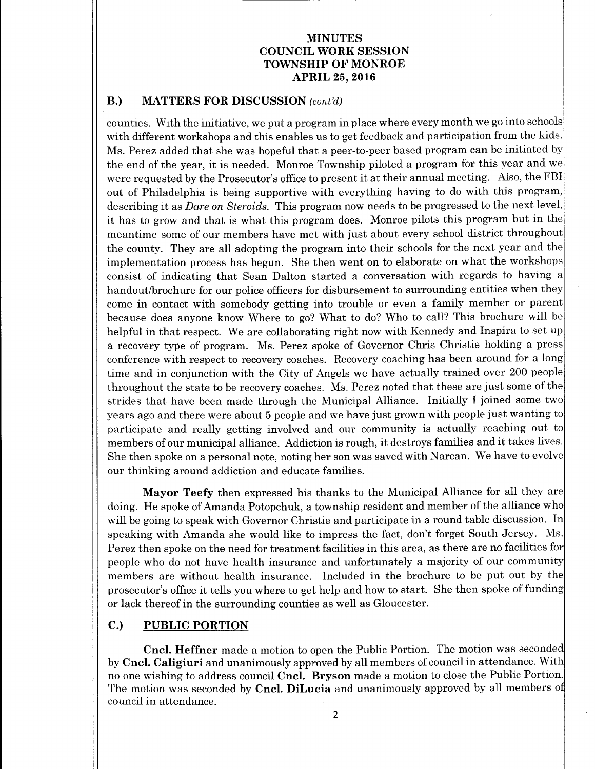## B.) MATTERS FOR DISCUSSION (cont'd)

counties. With the initiative, we put a program in place where every month we go into schools with different workshops and this enables us to get feedback and participation from the kids. Ms. Perez added that she was hopeful that a peer-to-peer based program can be initiated by the end of the year, it is needed. Monroe Township piloted <sup>a</sup> program for this year and we were requested by the Prosecutor's office to present it at their annual meeting. Also, the FBI out of Philadelphia is being supportive with everything having to do with this program, describing it as *Dare on Steroids*. This program now needs to be progressed to the next level, it has to grow and that is what this program does. Monroe pilots this program but in the meantime some of our members have met with just about every school district throughout the county. They are all adopting the program into their schools for the next year and the implementation process has begun. She then went on to elaborate on what the workshops consist of indicating that Sean Dalton started a conversation with regards to having a handout/brochure for our police officers for disbursement to surrounding entities when they come in contact with somebody getting into trouble or even a family member or parent because does anyone know Where to go? What to do? Who to call? This brochure will be helpful in that respect. We are collaborating right now with Kennedy and Inspira to set up <sup>a</sup> recovery type of program. Ms. Perez spoke of Governor Chris Christie holding <sup>a</sup> press conference with respect to recovery coaches. Recovery coaching has been around for <sup>a</sup> long time and in conjunction with the City of Angels we have actually trained over 200 people throughout the state to be recovery coaches. Ms. Perez noted that these are just some of the strides that have been made through the Municipal Alliance. Initially I joined some two years ago and there were about <sup>5</sup> people and we have just grown with people just wanting to participate and really getting involved and our community is actually reaching out to members of our municipal alliance. Addiction is rough, it destroys families and it takes lives. She then spoke on a personal note, noting her son was saved with Narcan. We have to evolve our thinking around addiction and educate families.

Mayor Teefy then expressed his thanks to the Municipal Alliance for all they are doing. He spoke of Amanda Potopchuk, a township resident and member of the alliance who will be going to speak with Governor Christie and participate in a round table discussion. In speaking with Amanda she would like to impress the fact, don't forget South Jersey. Ms. Perez then spoke on the need for treatment facilities in this area, as there are no facilities for people who do not have health insurance and unfortunately a majority of our community members are without health insurance. Included in the brochure to be put out by the prosecutor's office it tells you where to get help and how to start. She then spoke of funding or lack thereof in the surrounding counties as well as Gloucester.

## C.) PUBLIC PORTION

Cncl. Heffner made a motion to open the Public Portion. The motion was seconded by Cncl. Caligiuri and unanimously approved by all members of council in attendance. With no one wishing to address council Cncl. Bryson made <sup>a</sup> motion to close the Public Portion. The motion was seconded by Cncl. DiLucia and unanimously approved by all members of council in attendance.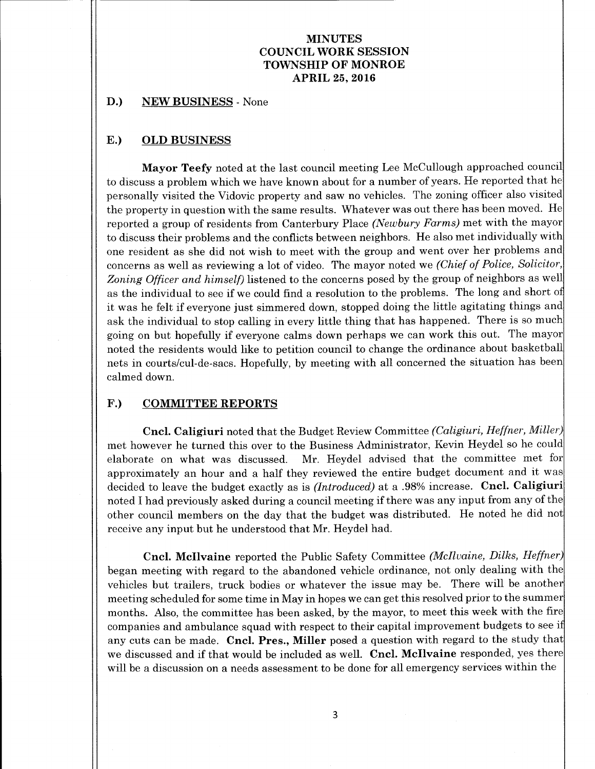#### D.) NEW BUSINESS - None

## E.) OLD BUSINESS

Mayor Teefy noted at the last council meeting Lee McCullough approached council to discuss a problem which we have known about for a number of years. He reported that he personally visited the Vidovic property and saw no vehicles. The zoning officer also visited the property in question with the same results. Whatever was out there has been moved. He reported a group of residents from Canterbury Place (Newbury Farms) met with the mayor to discuss their problems and the conflicts between neighbors. He also met individually with one resident as she did not wish to meet with the group and went over her problems and concerns as well as reviewing a lot of video. The mayor noted we (Chief of Police, Solicitor, Zoning Officer and himself) listened to the concerns posed by the group of neighbors as well as the individual to see if we could find <sup>a</sup> resolution to the problems. The long and short of it was he felt if everyone just simmered down, stopped doing the little agitating things and ask the individual to stop calling in every little thing that has happened. There is so much going on but hopefully if everyone calms down perhaps we can work this out. The mayor noted the residents would like to petition council to change the ordinance about basketball nets in courts/cul-de- sacs. Hopefully, by meeting with all concerned the situation has been calmed down.

### F.) COMMITTEE REPORTS

Cncl. Caligiuri noted that the Budget Review Committee (Caligiuri, Heffner, Miller) met however he turned this over to the Business Administrator, Kevin Heydel so he could elaborate on what was discussed. Mr. Heydel advised that the committee met for approximately an hour and <sup>a</sup> half they reviewed the entire budget document and it was decided to leave the budget exactly as is (Introduced) at a .98% increase. Cncl. Caligiuri noted I had previously asked during <sup>a</sup> council meeting if there was any input from any of the other council members on the day that the budget was distributed. He noted he did not receive any input but he understood that Mr. Heydel had.

Cncl. McIlvaine reported the Public Safety Committee (McIlvaine, Dilks, Heffner) began meeting with regard to the abandoned vehicle ordinance, not only dealing with the vehicles but trailers, truck bodies or whatever the issue may be. There will be another meeting scheduled for some time in May in hopes we can get this resolved prior to the summer months. Also, the committee has been asked, by the mayor, to meet this week with the fire companies and ambulance squad with respect to their capital improvement budgets to see if any cuts can be made. Cncl. Pres., Miller posed <sup>a</sup> question with regard to the study that we discussed and if that would be included as well. Cncl. McIlvaine responded, yes there will be <sup>a</sup> discussion on <sup>a</sup> needs assessment to be done for all emergency services within the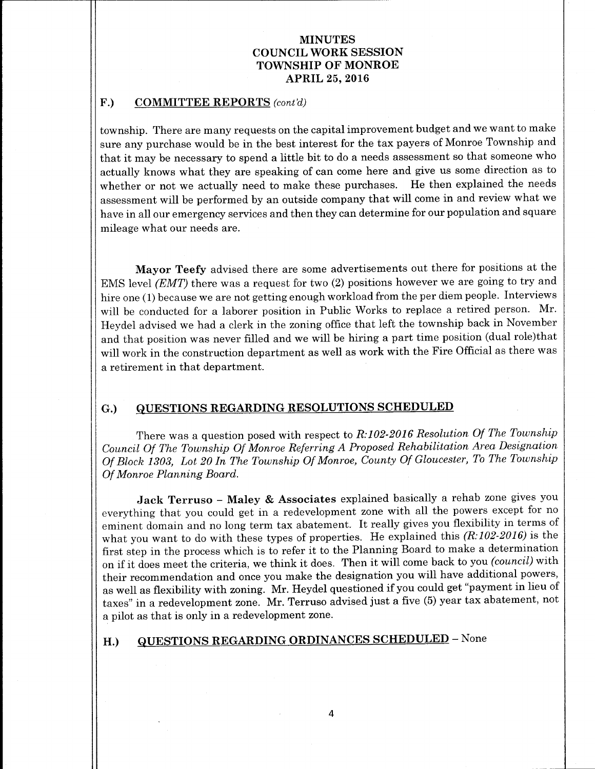#### F.) COMMITTEE REPORTS (cont'd)

township. There are many requests on the capital improvement budget and we want to make sure any purchase would be in the best interest for the tax payers of Monroe Township and that it may be necessary to spend <sup>a</sup> little bit to do <sup>a</sup> needs assessment so that someone who actually knows what they are speaking of can come here and give us some direction as to whether or not we actually need to make these purchases. He then explained the needs assessment will be performed by an outside company that will come in and review what we have in all our emergency services and then they can determine for our population and square mileage what our needs are.

Mayor Teefy advised there are some advertisements out there for positions at the EMS level  $(EMT)$  there was a request for two  $(2)$  positions however we are going to try and hire one (1) because we are not getting enough workload from the per diem people. Interviews will be conducted for <sup>a</sup> laborer position in Public Works to replace <sup>a</sup> retired person. Mr. Heydel advised we had a clerk in the zoning office that left the township back in November and that position was never filled and we will be hiring a part time position (dual role)that will work in the construction department as well as work with the Fire Official as there was a retirement in that department.

## G.) QUESTIONS REGARDING RESOLUTIONS SCHEDULED

There was a question posed with respect to R:102-2016 Resolution Of The Township Council Of The Township Of Monroe Referring A Proposed Rehabilitation Area Designation Of Block 1303, Lot 20 In The Township Of Monroe, County Of Gloucester, To The Township Of Monroe Planning Board.

Jack Terruso - Maley & Associates explained basically a rehab zone gives you everything that you could get in a redevelopment zone with all the powers except for no eminent domain and no long term tax abatement. It really gives you flexibility in terms of what you want to do with these types of properties. He explained this  $(R:102-2016)$  is the first step in the process which is to refer it to the Planning Board to make <sup>a</sup> determination on if it does meet the criteria, we think it does. Then it will come back to you (council) with their recommendation and once you make the designation you will have additional powers, as well as flexibility with zoning. Mr. Heydel questioned if you could get " payment in lieu of taxes" in a redevelopment zone. Mr. Terruso advised just a five (5) year tax abatement, not a pilot as that is only in a redevelopment zone.

# H.) QUESTIONS REGARDING ORDINANCES SCHEDULED - None